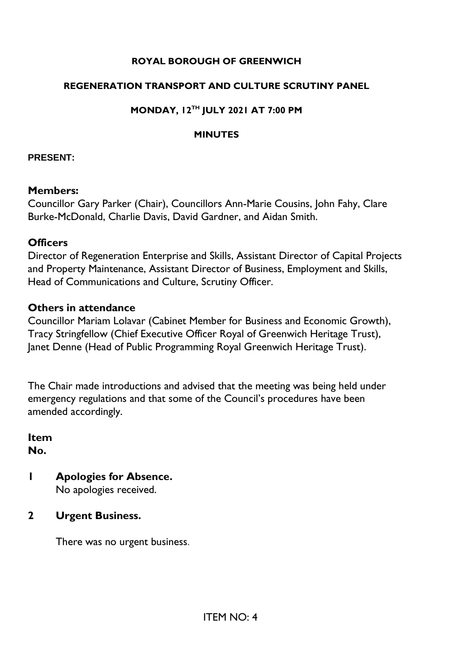### **ROYAL BOROUGH OF GREENWICH**

#### **REGENERATION TRANSPORT AND CULTURE SCRUTINY PANEL**

### **MONDAY, 12TH JULY 2021 AT 7:00 PM**

#### **MINUTES**

#### **PRESENT:**

#### **Members:**

Councillor Gary Parker (Chair), Councillors Ann-Marie Cousins, John Fahy, Clare Burke-McDonald, Charlie Davis, David Gardner, and Aidan Smith.

### **Officers**

Director of Regeneration Enterprise and Skills, Assistant Director of Capital Projects and Property Maintenance, Assistant Director of Business, Employment and Skills, Head of Communications and Culture, Scrutiny Officer.

### **Others in attendance**

Councillor Mariam Lolavar (Cabinet Member for Business and Economic Growth), Tracy Stringfellow (Chief Executive Officer Royal of Greenwich Heritage Trust), Janet Denne (Head of Public Programming Royal Greenwich Heritage Trust).

The Chair made introductions and advised that the meeting was being held under emergency regulations and that some of the Council's procedures have been amended accordingly.

**Item No.** 

- **1 Apologies for Absence.** No apologies received.
- **2 Urgent Business.**

There was no urgent business.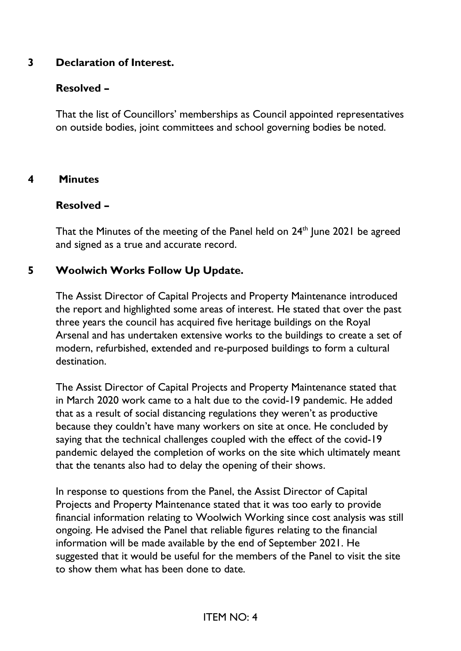## **3 Declaration of Interest.**

## **Resolved –**

That the list of Councillors' memberships as Council appointed representatives on outside bodies, joint committees and school governing bodies be noted.

### **4 Minutes**

### **Resolved –**

That the Minutes of the meeting of the Panel held on  $24<sup>th</sup>$  June 2021 be agreed and signed as a true and accurate record.

# **5 Woolwich Works Follow Up Update.**

The Assist Director of Capital Projects and Property Maintenance introduced the report and highlighted some areas of interest. He stated that over the past three years the council has acquired five heritage buildings on the Royal Arsenal and has undertaken extensive works to the buildings to create a set of modern, refurbished, extended and re-purposed buildings to form a cultural destination.

The Assist Director of Capital Projects and Property Maintenance stated that in March 2020 work came to a halt due to the covid-19 pandemic. He added that as a result of social distancing regulations they weren't as productive because they couldn't have many workers on site at once. He concluded by saying that the technical challenges coupled with the effect of the covid-19 pandemic delayed the completion of works on the site which ultimately meant that the tenants also had to delay the opening of their shows.

In response to questions from the Panel, the Assist Director of Capital Projects and Property Maintenance stated that it was too early to provide financial information relating to Woolwich Working since cost analysis was still ongoing. He advised the Panel that reliable figures relating to the financial information will be made available by the end of September 2021. He suggested that it would be useful for the members of the Panel to visit the site to show them what has been done to date.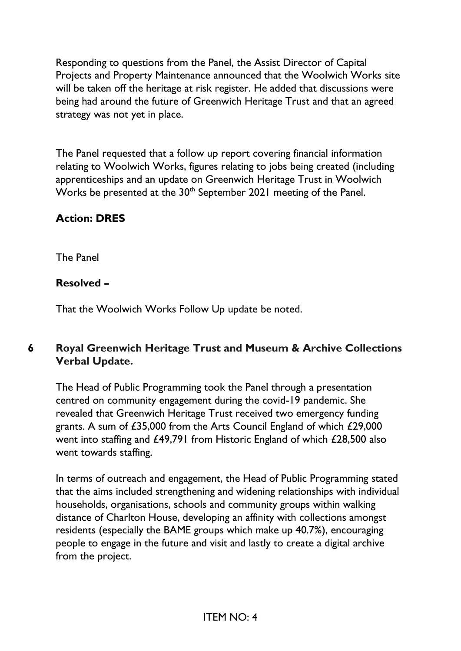Responding to questions from the Panel, the Assist Director of Capital Projects and Property Maintenance announced that the Woolwich Works site will be taken off the heritage at risk register. He added that discussions were being had around the future of Greenwich Heritage Trust and that an agreed strategy was not yet in place.

The Panel requested that a follow up report covering financial information relating to Woolwich Works, figures relating to jobs being created (including apprenticeships and an update on Greenwich Heritage Trust in Woolwich Works be presented at the 30<sup>th</sup> September 2021 meeting of the Panel.

# **Action: DRES**

The Panel

## **Resolved –**

That the Woolwich Works Follow Up update be noted.

# **6 Royal Greenwich Heritage Trust and Museum & Archive Collections Verbal Update.**

The Head of Public Programming took the Panel through a presentation centred on community engagement during the covid-19 pandemic. She revealed that Greenwich Heritage Trust received two emergency funding grants. A sum of £35,000 from the Arts Council England of which £29,000 went into staffing and £49,791 from Historic England of which £28,500 also went towards staffing.

In terms of outreach and engagement, the Head of Public Programming stated that the aims included strengthening and widening relationships with individual households, organisations, schools and community groups within walking distance of Charlton House, developing an affinity with collections amongst residents (especially the BAME groups which make up 40.7%), encouraging people to engage in the future and visit and lastly to create a digital archive from the project.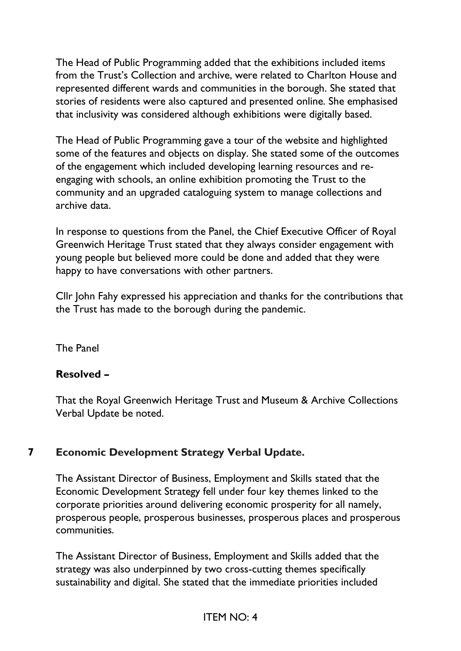The Head of Public Programming added that the exhibitions included items from the Trust's Collection and archive, were related to Charlton House and represented different wards and communities in the borough. She stated that stories of residents were also captured and presented online. She emphasised that inclusivity was considered although exhibitions were digitally based.

The Head of Public Programming gave a tour of the website and highlighted some of the features and objects on display. She stated some of the outcomes of the engagement which included developing learning resources and reengaging with schools, an online exhibition promoting the Trust to the community and an upgraded cataloguing system to manage collections and archive data.

In response to questions from the Panel, the Chief Executive Officer of Royal Greenwich Heritage Trust stated that they always consider engagement with young people but believed more could be done and added that they were happy to have conversations with other partners.

Cllr John Fahy expressed his appreciation and thanks for the contributions that the Trust has made to the borough during the pandemic.

The Panel

# **Resolved –**

That the Royal Greenwich Heritage Trust and Museum & Archive Collections Verbal Update be noted.

# **7 Economic Development Strategy Verbal Update.**

The Assistant Director of Business, Employment and Skills stated that the Economic Development Strategy fell under four key themes linked to the corporate priorities around delivering economic prosperity for all namely, prosperous people, prosperous businesses, prosperous places and prosperous communities.

The Assistant Director of Business, Employment and Skills added that the strategy was also underpinned by two cross-cutting themes specifically sustainability and digital. She stated that the immediate priorities included

### ITEM NO: 4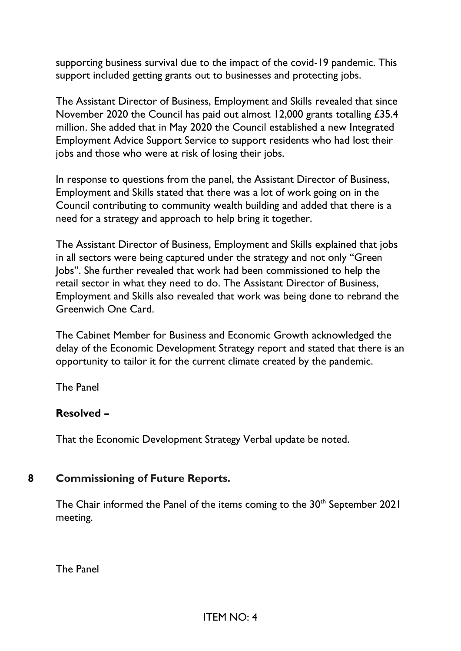supporting business survival due to the impact of the covid-19 pandemic. This support included getting grants out to businesses and protecting jobs.

The Assistant Director of Business, Employment and Skills revealed that since November 2020 the Council has paid out almost 12,000 grants totalling £35.4 million. She added that in May 2020 the Council established a new Integrated Employment Advice Support Service to support residents who had lost their jobs and those who were at risk of losing their jobs.

In response to questions from the panel, the Assistant Director of Business, Employment and Skills stated that there was a lot of work going on in the Council contributing to community wealth building and added that there is a need for a strategy and approach to help bring it together.

The Assistant Director of Business, Employment and Skills explained that jobs in all sectors were being captured under the strategy and not only "Green Jobs". She further revealed that work had been commissioned to help the retail sector in what they need to do. The Assistant Director of Business, Employment and Skills also revealed that work was being done to rebrand the Greenwich One Card.

The Cabinet Member for Business and Economic Growth acknowledged the delay of the Economic Development Strategy report and stated that there is an opportunity to tailor it for the current climate created by the pandemic.

The Panel

### **Resolved –**

That the Economic Development Strategy Verbal update be noted.

### **8 Commissioning of Future Reports.**

The Chair informed the Panel of the items coming to the 30<sup>th</sup> September 2021 meeting.

The Panel